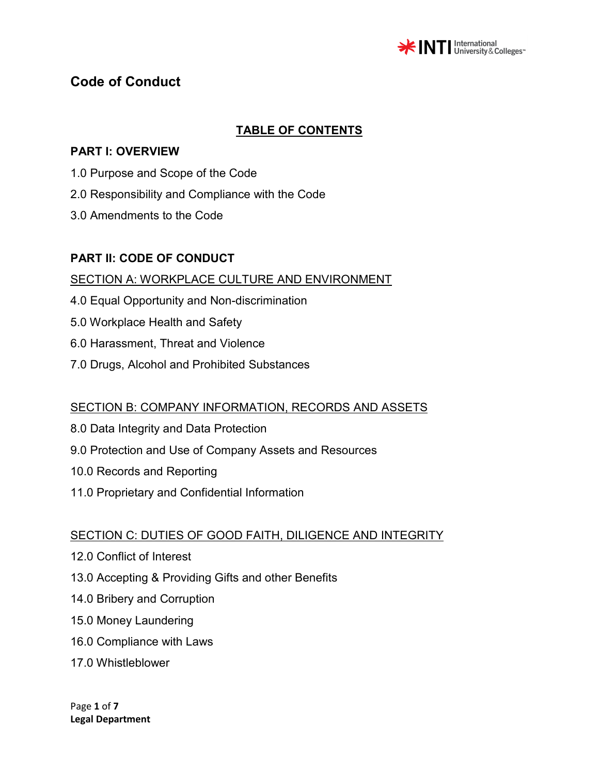

# **TABLE OF CONTENTS**

### **PART I: OVERVIEW**

- 1.0 Purpose and Scope of the Code
- 2.0 Responsibility and Compliance with the Code
- 3.0 Amendments to the Code

## **PART II: CODE OF CONDUCT**

#### SECTION A: WORKPLACE CULTURE AND ENVIRONMENT

- 4.0 Equal Opportunity and Non-discrimination
- 5.0 Workplace Health and Safety
- 6.0 Harassment, Threat and Violence
- 7.0 Drugs, Alcohol and Prohibited Substances

## SECTION B: COMPANY INFORMATION, RECORDS AND ASSETS

- 8.0 Data Integrity and Data Protection
- 9.0 Protection and Use of Company Assets and Resources
- 10.0 Records and Reporting
- 11.0 Proprietary and Confidential Information

## SECTION C: DUTIES OF GOOD FAITH, DILIGENCE AND INTEGRITY

- 12.0 Conflict of Interest
- 13.0 Accepting & Providing Gifts and other Benefits
- 14.0 Bribery and Corruption
- 15.0 Money Laundering
- 16.0 Compliance with Laws
- 17.0 Whistleblower

Page **1** of **7 Legal Department**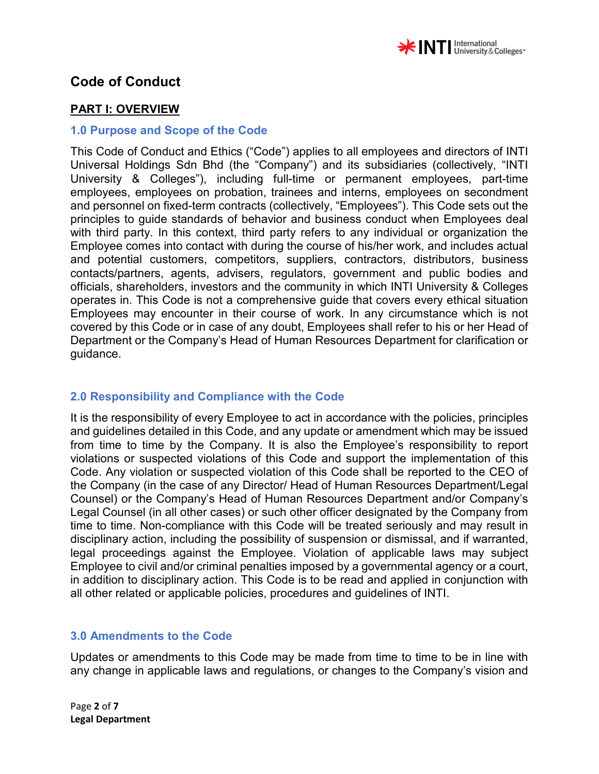

### **PART I: OVERVIEW**

#### **1.0 Purpose and Scope of the Code**

This Code of Conduct and Ethics ("Code") applies to all employees and directors of INTI Universal Holdings Sdn Bhd (the "Company") and its subsidiaries (collectively, "INTI University & Colleges"), including full-time or permanent employees, part-time employees, employees on probation, trainees and interns, employees on secondment and personnel on fixed-term contracts (collectively, "Employees"). This Code sets out the principles to guide standards of behavior and business conduct when Employees deal with third party. In this context, third party refers to any individual or organization the Employee comes into contact with during the course of his/her work, and includes actual and potential customers, competitors, suppliers, contractors, distributors, business contacts/partners, agents, advisers, regulators, government and public bodies and officials, shareholders, investors and the community in which INTI University & Colleges operates in. This Code is not a comprehensive guide that covers every ethical situation Employees may encounter in their course of work. In any circumstance which is not covered by this Code or in case of any doubt, Employees shall refer to his or her Head of Department or the Company's Head of Human Resources Department for clarification or guidance.

## **2.0 Responsibility and Compliance with the Code**

It is the responsibility of every Employee to act in accordance with the policies, principles and guidelines detailed in this Code, and any update or amendment which may be issued from time to time by the Company. It is also the Employee's responsibility to report violations or suspected violations of this Code and support the implementation of this Code. Any violation or suspected violation of this Code shall be reported to the CEO of the Company (in the case of any Director/ Head of Human Resources Department/Legal Counsel) or the Company's Head of Human Resources Department and/or Company's Legal Counsel (in all other cases) or such other officer designated by the Company from time to time. Non-compliance with this Code will be treated seriously and may result in disciplinary action, including the possibility of suspension or dismissal, and if warranted, legal proceedings against the Employee. Violation of applicable laws may subject Employee to civil and/or criminal penalties imposed by a governmental agency or a court, in addition to disciplinary action. This Code is to be read and applied in conjunction with all other related or applicable policies, procedures and guidelines of INTI.

#### **3.0 Amendments to the Code**

Updates or amendments to this Code may be made from time to time to be in line with any change in applicable laws and regulations, or changes to the Company's vision and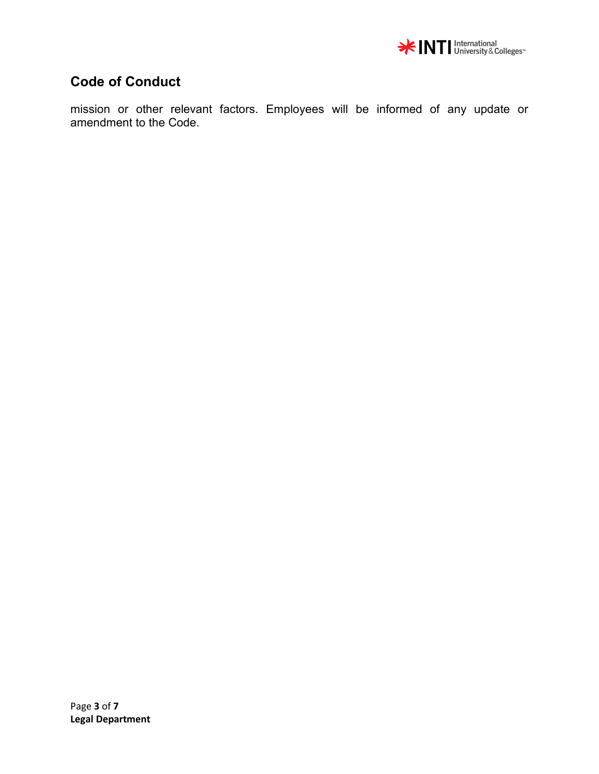

mission or other relevant factors. Employees will be informed of any update or amendment to the Code.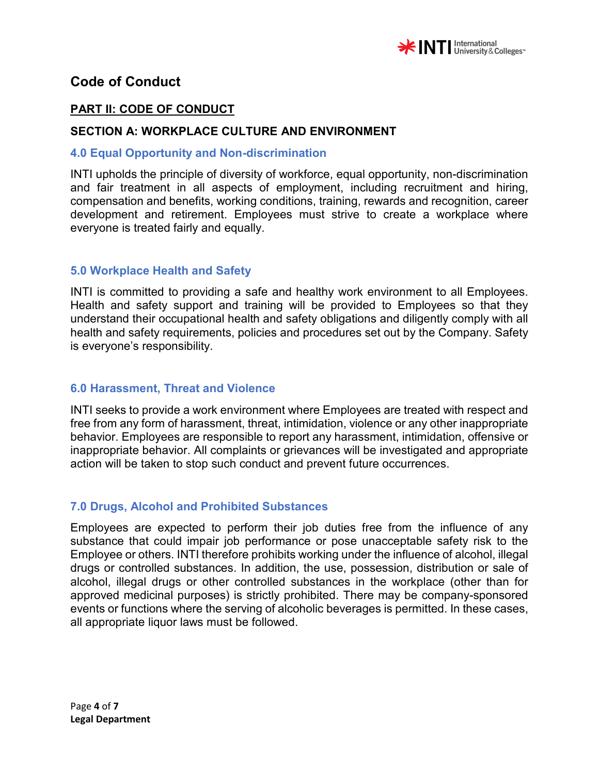

## **PART II: CODE OF CONDUCT**

### **SECTION A: WORKPLACE CULTURE AND ENVIRONMENT**

#### **4.0 Equal Opportunity and Non-discrimination**

INTI upholds the principle of diversity of workforce, equal opportunity, non-discrimination and fair treatment in all aspects of employment, including recruitment and hiring, compensation and benefits, working conditions, training, rewards and recognition, career development and retirement. Employees must strive to create a workplace where everyone is treated fairly and equally.

#### **5.0 Workplace Health and Safety**

INTI is committed to providing a safe and healthy work environment to all Employees. Health and safety support and training will be provided to Employees so that they understand their occupational health and safety obligations and diligently comply with all health and safety requirements, policies and procedures set out by the Company. Safety is everyone's responsibility.

#### **6.0 Harassment, Threat and Violence**

INTI seeks to provide a work environment where Employees are treated with respect and free from any form of harassment, threat, intimidation, violence or any other inappropriate behavior. Employees are responsible to report any harassment, intimidation, offensive or inappropriate behavior. All complaints or grievances will be investigated and appropriate action will be taken to stop such conduct and prevent future occurrences.

## **7.0 Drugs, Alcohol and Prohibited Substances**

Employees are expected to perform their job duties free from the influence of any substance that could impair job performance or pose unacceptable safety risk to the Employee or others. INTI therefore prohibits working under the influence of alcohol, illegal drugs or controlled substances. In addition, the use, possession, distribution or sale of alcohol, illegal drugs or other controlled substances in the workplace (other than for approved medicinal purposes) is strictly prohibited. There may be company-sponsored events or functions where the serving of alcoholic beverages is permitted. In these cases, all appropriate liquor laws must be followed.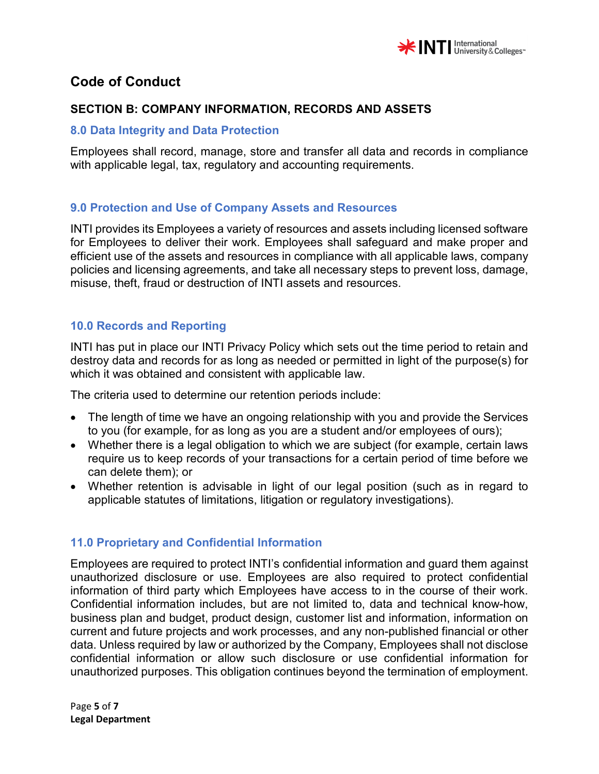

## **SECTION B: COMPANY INFORMATION, RECORDS AND ASSETS**

#### **8.0 Data Integrity and Data Protection**

Employees shall record, manage, store and transfer all data and records in compliance with applicable legal, tax, regulatory and accounting requirements.

#### **9.0 Protection and Use of Company Assets and Resources**

INTI provides its Employees a variety of resources and assets including licensed software for Employees to deliver their work. Employees shall safeguard and make proper and efficient use of the assets and resources in compliance with all applicable laws, company policies and licensing agreements, and take all necessary steps to prevent loss, damage, misuse, theft, fraud or destruction of INTI assets and resources.

# **10.0 Records and Reporting**

INTI has put in place our INTI Privacy Policy which sets out the time period to retain and destroy data and records for as long as needed or permitted in light of the purpose(s) for which it was obtained and consistent with applicable law.

The criteria used to determine our retention periods include:

- The length of time we have an ongoing relationship with you and provide the Services to you (for example, for as long as you are a student and/or employees of ours);
- Whether there is a legal obligation to which we are subject (for example, certain laws require us to keep records of your transactions for a certain period of time before we can delete them); or
- Whether retention is advisable in light of our legal position (such as in regard to applicable statutes of limitations, litigation or regulatory investigations).

## **11.0 Proprietary and Confidential Information**

Employees are required to protect INTI's confidential information and guard them against unauthorized disclosure or use. Employees are also required to protect confidential information of third party which Employees have access to in the course of their work. Confidential information includes, but are not limited to, data and technical know-how, business plan and budget, product design, customer list and information, information on current and future projects and work processes, and any non-published financial or other data. Unless required by law or authorized by the Company, Employees shall not disclose confidential information or allow such disclosure or use confidential information for unauthorized purposes. This obligation continues beyond the termination of employment.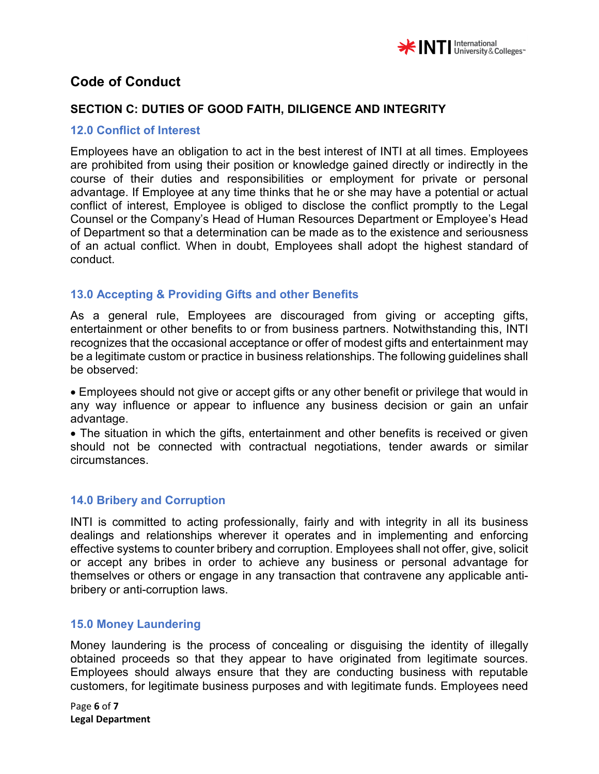

# **SECTION C: DUTIES OF GOOD FAITH, DILIGENCE AND INTEGRITY**

#### **12.0 Conflict of Interest**

Employees have an obligation to act in the best interest of INTI at all times. Employees are prohibited from using their position or knowledge gained directly or indirectly in the course of their duties and responsibilities or employment for private or personal advantage. If Employee at any time thinks that he or she may have a potential or actual conflict of interest, Employee is obliged to disclose the conflict promptly to the Legal Counsel or the Company's Head of Human Resources Department or Employee's Head of Department so that a determination can be made as to the existence and seriousness of an actual conflict. When in doubt, Employees shall adopt the highest standard of conduct.

## **13.0 Accepting & Providing Gifts and other Benefits**

As a general rule, Employees are discouraged from giving or accepting gifts, entertainment or other benefits to or from business partners. Notwithstanding this, INTI recognizes that the occasional acceptance or offer of modest gifts and entertainment may be a legitimate custom or practice in business relationships. The following guidelines shall be observed:

• Employees should not give or accept gifts or any other benefit or privilege that would in any way influence or appear to influence any business decision or gain an unfair advantage.

• The situation in which the gifts, entertainment and other benefits is received or given should not be connected with contractual negotiations, tender awards or similar circumstances.

## **14.0 Bribery and Corruption**

INTI is committed to acting professionally, fairly and with integrity in all its business dealings and relationships wherever it operates and in implementing and enforcing effective systems to counter bribery and corruption. Employees shall not offer, give, solicit or accept any bribes in order to achieve any business or personal advantage for themselves or others or engage in any transaction that contravene any applicable antibribery or anti-corruption laws.

#### **15.0 Money Laundering**

Money laundering is the process of concealing or disguising the identity of illegally obtained proceeds so that they appear to have originated from legitimate sources. Employees should always ensure that they are conducting business with reputable customers, for legitimate business purposes and with legitimate funds. Employees need

Page **6** of **7 Legal Department**